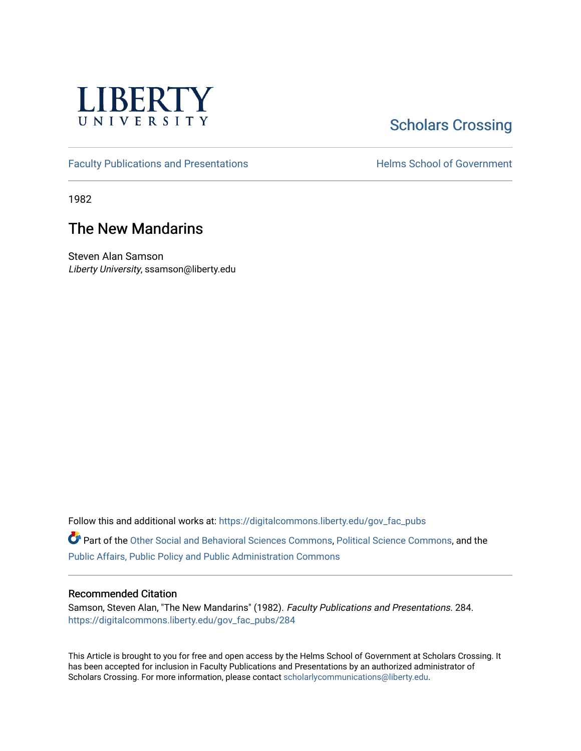

# **Scholars Crossing**

[Faculty Publications and Presentations](https://digitalcommons.liberty.edu/gov_fac_pubs) **Exercise School of Government** 

1982

## The New Mandarins

Steven Alan Samson Liberty University, ssamson@liberty.edu

Follow this and additional works at: [https://digitalcommons.liberty.edu/gov\\_fac\\_pubs](https://digitalcommons.liberty.edu/gov_fac_pubs?utm_source=digitalcommons.liberty.edu%2Fgov_fac_pubs%2F284&utm_medium=PDF&utm_campaign=PDFCoverPages)

Part of the [Other Social and Behavioral Sciences Commons](http://network.bepress.com/hgg/discipline/437?utm_source=digitalcommons.liberty.edu%2Fgov_fac_pubs%2F284&utm_medium=PDF&utm_campaign=PDFCoverPages), [Political Science Commons](http://network.bepress.com/hgg/discipline/386?utm_source=digitalcommons.liberty.edu%2Fgov_fac_pubs%2F284&utm_medium=PDF&utm_campaign=PDFCoverPages), and the [Public Affairs, Public Policy and Public Administration Commons](http://network.bepress.com/hgg/discipline/393?utm_source=digitalcommons.liberty.edu%2Fgov_fac_pubs%2F284&utm_medium=PDF&utm_campaign=PDFCoverPages)

### Recommended Citation

Samson, Steven Alan, "The New Mandarins" (1982). Faculty Publications and Presentations. 284. [https://digitalcommons.liberty.edu/gov\\_fac\\_pubs/284](https://digitalcommons.liberty.edu/gov_fac_pubs/284?utm_source=digitalcommons.liberty.edu%2Fgov_fac_pubs%2F284&utm_medium=PDF&utm_campaign=PDFCoverPages)

This Article is brought to you for free and open access by the Helms School of Government at Scholars Crossing. It has been accepted for inclusion in Faculty Publications and Presentations by an authorized administrator of Scholars Crossing. For more information, please contact [scholarlycommunications@liberty.edu.](mailto:scholarlycommunications@liberty.edu)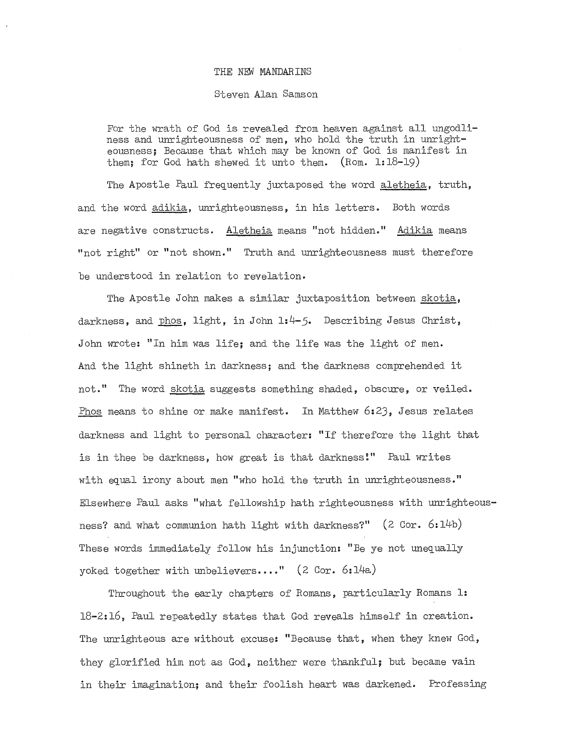#### THE NEM MANDARINS

#### Steven Alan Samson

For the wrath of God is revealed from heaven against all ungodliness and unrighteousness of men, who hold the truth in unrighteousness; Because that which may be known of God is manifest in them; for God hath shewed it unto them. (Rom. 1:18-19)

The Apostle Paul frequently juxtaposed the word aletheia, truth, and the word adikia, unrighteousness, in his letters. Both words are negative constructs. Aletheia means "not hidden." Adikia means "not right" or "not shown." Truth and unrighteousness must therefore be understood in relation to revelation.

The Apostle John makes a similar juxtaposition between skotia, darkness, and phos, light, in John 1:4-5. Describing Jesus Christ, John wrote: "In him was life; and the life was the light of men. And the light shineth in darkness; and the darkness comprehended it not." The word skotia suggests something shaded, obscure, or veiled. Phos means to shine or make manifest. In Matthew 6:23, Jesus relates darkness and light to personal character: "If therefore the light that is in thee be darkness, how great is that darkness!" Paul writes with equal irony about men "who hold the truth in unrighteousness." Elsewhere Paul asks "what fellowship hath righteousness with unrighteousness? and what communion hath light with darkness?"  $(2 \text{ Cor. } 6:14b)$ These words immediately follow his injunction: "Be ye not unequally yoked together with unbelievers...."  $(2 \text{ Cor. } 6:14a)$ 

Throughout the early chapters of Romans, particularly Romans 1: 18-2:16, Paul repeatedly states that God reveals himself in creation. The unrighteous are without excuse: "Because that, when they knew God, they glorified him not as God, neither were thankful; but became vain in their imagination; and their foolish heart was darkened. Professing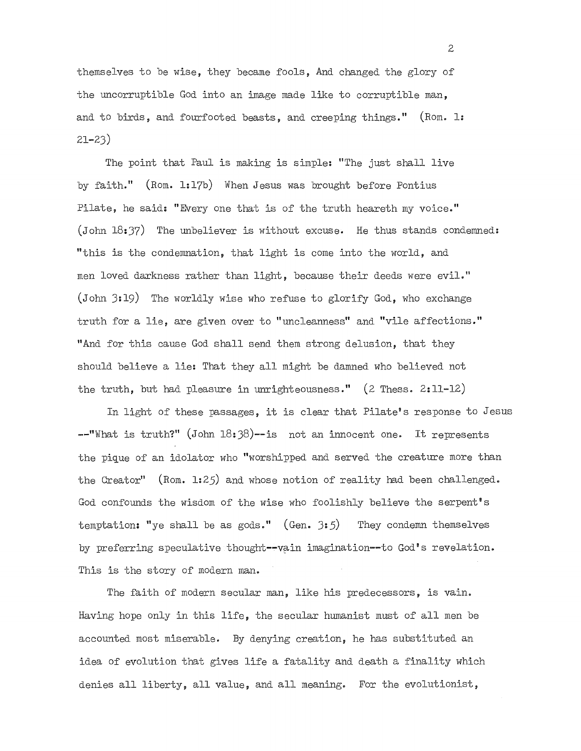themselves to be wise, they became fools, And changed the glory of the uncorruptible God into an image made like to corruptible man, and to birds, and fourfooted beasts, and creeping things." (Rom. 1: 21-23)

The point that Paul is making is simple: "The just shall live by faith." (Rom. 1:17b) When Jesus was brought before Pontius Pilate, he said: "Every one that is of the truth heareth my voice." (John 18:37) The unbeliever is without excuse. He thus stands condemned: "this is the condemnation, that light is come into the world, and men loved darkness rather than light, because their deeds were evil." (John 3:19) The worldly wise who refuse to glorify God, who exchange truth for a lie, are given over to "uncleanness" and "vile affections." "And for this cause God shall send them strong delusion, that they should believe a lie: That they all might be damned who believed not the truth, but had pleasure in unrighteousness."  $(2 \text{ Thess. } 2:11-12)$ 

In light of these passages, it is clear that Pilate's response to Jesus  $-$ "What is truth?" (John 18:38)--is not an innocent one. It represents the pique of an idolator who "worshipped and served the creature more than the Creator" (Rom. 1:25) and whose notion of reality had been challenged. God confounds the wisdom of the wise who foolishly believe the serpent's temptation: "ye shall be as gods."  $(Gen. 3:5)$  They condemn themselves by preferring speculative thought--vain imagination--to God's revelation. This is the story of modern man.

The faith of modern secular man, like his predecessors, is vain. Having hope only in this life, the secular humanist must of all men be accounted most miserable. By denying creation, he has substituted an idea of evolution that gives life a fatality and death a finality which denies all liberty, all value, and all meaning. For the evolutionist,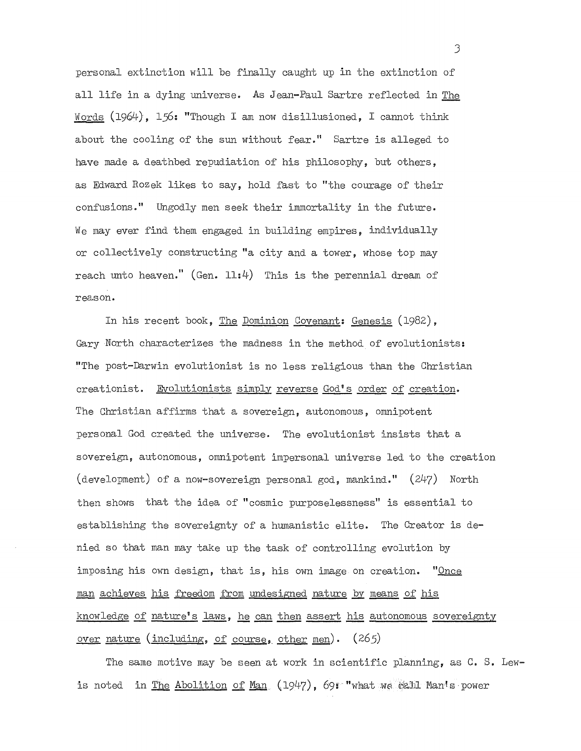personal extinction will be finally caught up in the extinction of all life in a dying universe. As Jean-Paul Sartre reflected in The Words (1964), 156: "Though I am now disillusioned, I cannot think about the cooling of the sun without fear." Sartre is alleged to have made a deathbed repudiation of his philosophy, but others, as Edward Rozek likes to say, hold fast to "the courage of their confusions." Ungodly men seek their immortality in the future. We may ever find them engaged in building empires, individually or collectively constructing **"a** city and a tower, whose top may reach unto heaven."  $(Gen. 11:4)$  This is the perennial dream of reason.

In his recent book, The Dominion Covenant: Genesis (1982), Gary North characterizes the madness in the method of evolutionists: "The post-Darwin evolutionist is no less religious than the Christian creationist. Evolutionists simply reverse GOd's order of creation. The Christian affirms that a sovereign, autonomous, omnipotent personal God created the universe. The evolutionist insists that a sovereign, autonomous, omnipotent impersonal universe led to the creation (development) of a now-sovereign personal god, mankind." (247) North then shows that the idea of "cosmic purposelessness" is essential to establishing the sovereignty of a humanistic elite. The Creator is denied so that man may take up the task of controlling evolution by imposing his own design, that is, his own image on creation. "Once man achieves his freedom from undesigned nature by means of his knowledge of nature's laws, he can then assert his autonomous sovereignty <u>over</u> nature (including, of course, other men).  $(265)$ 

The same motive may be seen at work in scientific planning, as C. S. Lewis noted in <u>The Abolition of Man</u> (1947), 69: "what we eatl Man's power

J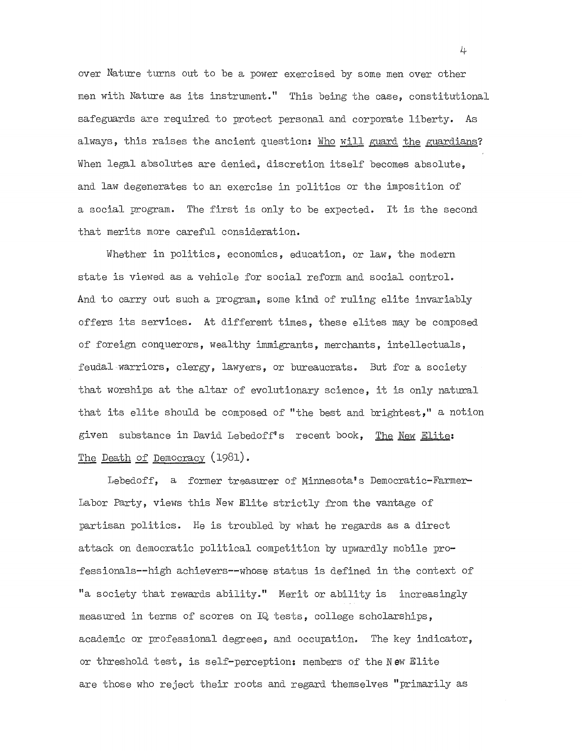over Nature turns out to be a power exercised by some men over other men with Nature as its instrument." This being the case, constitutional safeguards are required to protect personal and corporate liberty. As always, this raises the ancient question: Who will guard the guardians? When legal absolutes are denied, discretion itself becomes absolute, and law degenerates to an exercise in politics or the imposition of a social program. The first is only to be expected. It is the second that merits more careful consideration.

Whether in politics, economics, education, or law, the modern state is viewed as a vehicle for social reform and social control. And to carry out such a program, some kind of ruling elite invariably offers its services. At different times, these elites may be composed of foreign conquerors, wealthy immigrants, merchants, intellectuals, feudal warriors, clergy, lawyers, or bureaucrats. But for a society that worships at the altar of evolutionary science, it is only natural that its elite should be composed of "the best and brightest," a notion given substance in David Lebedoff's recent book, The New Elite: The Death of Democracy (1981).

Lebedoff, a former treasurer of Minnesota's Democratic-Farmer-Labor Party, views this New Elite strictly from the vantage of partisan politics. He is troubled by what he regards as a direct attack on democratic political competition by upwardly mobile professionals--high achievers--whose status is defined in the context of "a society that rewards ability." Merit or ability is increasingly measured in terms of scores on IQ tests, college scholarships, academic or professional degrees, and occupation. The key indicator, or threshold test, is self-perception: members of the N **ew** Elite are those who reject their roots and regard themselves "primarily as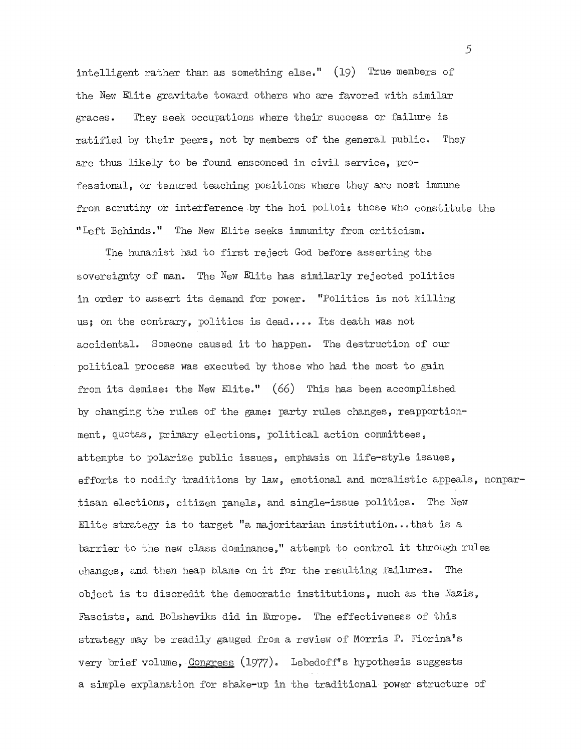intelligent rather than as something else." (19) True members of the New Elite gravitate toward others who are favored with similar graces. They seek occupations where their success or failure is ratified by their peers, not by members of the general public. They are thus likely to be found ensconced in civil service, professional, or tenured teaching positions where they are most immune from scrutiny or interference by the hoi polloi: those who constitute the "Left Behinds." The New Elite seeks immunity from criticism.

The humanist had to first reject God before asserting the sovereignty of man. The New Elite has similarly rejected politics in order to assert its demand for power. "Politics is not killing us; on the contrary, politics is dead .... Its death was not accidental. Someone caused it to happen. The destruction of our political process was executed by those who had the most to gain from its demise: the New Elite." (66) This has been accomplished by changing the rules of the game: party rules changes, reapportionment, quotas, primary elections, political action committees, attempts to polarize public issues, emphasis on life-style issues, efforts to modify traditions by law, emotional and moralistic appeals, nonpartisan elections, citizen panels, and single-issue politics. The New Elite strategy is to target "a majoritarian institution...that is a barrier to the new class dominance," attempt to control it through rules changes, and then heap blame on it for the resulting failures. The object is to discredit the democratic institutions, much as the Nazis, Fascists, and Bolsheviks did in Europe. The effectiveness of this strategy may be readily gauged from a review of Morris P. Fiorina's very brief volume, Congress (1977). Lebedoff's hypothesis suggests a simple explanation for shake-up in the traditional power structure of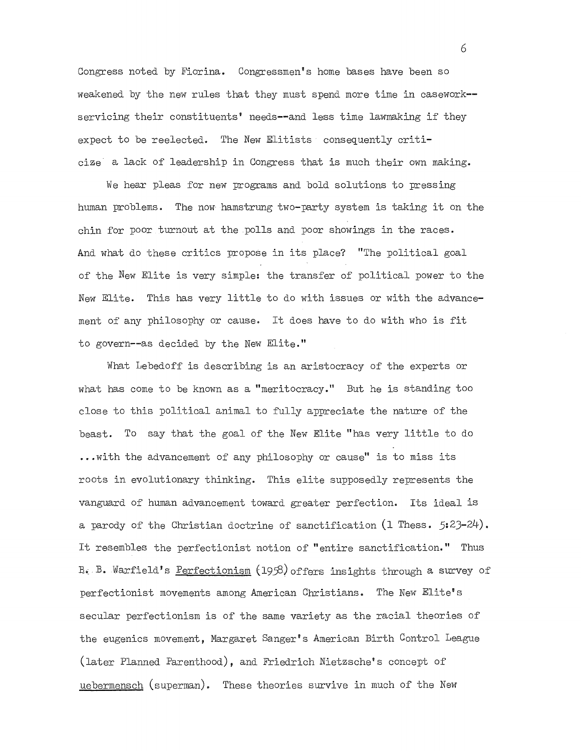Congress noted by Fiorina. Congressmen's home bases have been so weakened by the new rules that they must spend more time in casework- servicing their constituents' needs--and less time lawmaking if they expect to be reelected. The New Elitists consequently criticize a lack of leadership in Congress that is much their own making.

We hear pleas for new programs and bold solutions to pressing human problems. The now hamstrung two-party system is taking it on the chin for poor turnout at the polls and poor showings in the races. And what do these critics propose in its place? "The political goal of the New Elite is very simple: the transfer of political power to the New Elite. This has very little to do with issues or with the advancement of any philosophy or cause. It does have to do with who is fit to govern--as decided by the New Elite."

What Lebedoff is describing is an aristocracy of the experts or what has come to be known as a "meritocracy." But he is standing too close to this political animal to fully appreciate the nature of the beast. To say that the goal of the New Elite "has very little to do ..• with the advancement of any philosophy or cause" is to miss its roots in evolutionary thinking. This elite supposedly represents the vanguard of human advancement toward greater perfection. Its ideal is a parody of the Christian doctrine of sanctification  $(1 \text{ Thess. } 5:23-24)$ . It resembles the perfectionist notion of "entire sanctification." Thus  $B_i$ . B. Warfield's Perfectionism (1958) offers insights through a survey of perfectionist movements among American Christians. The New Elite's secular perfectionism is of the same variety as the racial theories of the eugenics movement, Margaret Sanger's American Birth Control League (later Planned Parenthood), and Friedrich Nietzsche's concept of uebermensch (superman). These theories survive in much of the New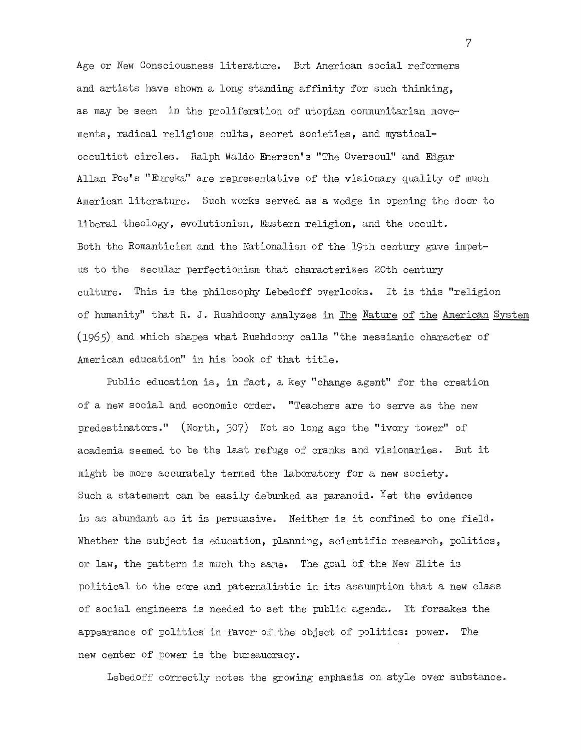Age or New Consciousness literature. But American social reformers and artists have shown a long standing affinity for such thinking, as may be seen in the proliferation of utopian communitarian movements, radical religious cults, secret societies, and mysticaloccultist circles. Ralph Waldo Emerson's "The Oversoul" and Edgar Allan Poe's "Eureka" are representative of the visionary quality of much American literature. Such works served as a wedge in opening the door to liberal theology, evolutionism, Eastern religion, and the occult. Both the Romanticism and the Nationalism of the 19th century gave impetus to the secular perfectionism that characterizes 20th century culture. This is the philosophy Lebedoff overlooks. It is this "religion of humanity" that R. J. Rushdoony analyzes in The Nature of the American System (1965) and which shapes what Rushdoony calls "the messianic character of American education" in his book of that title.

Public education is, in fact, a key "change agent" for the creation of a new social and economic order. "Teachers are to serve as the new predestinators." (North, 307) Not so long ago the "ivory tower" of academia seemed to be the last refuge of cranks and visionaries. But it might be more accurately termed the laboratory for a new society. Such a statement can be easily debunked as paranoid. Yet the evidence is as abundant as it is persuasive. Neither is it confined to one field. Whether the subject is education, planning, scientific research, politics, or law, the pattern is much the same- The gpal of the New Elite is political to the core and paternalistic in its assumption that a new class of social engineers is needed to set the public agenda. It forsakes the appearance of politics in favor' of the object of politics: power. The new center of power is the bureaucracy.

Lebedoff correctly notes the growing emphasis on style over substance.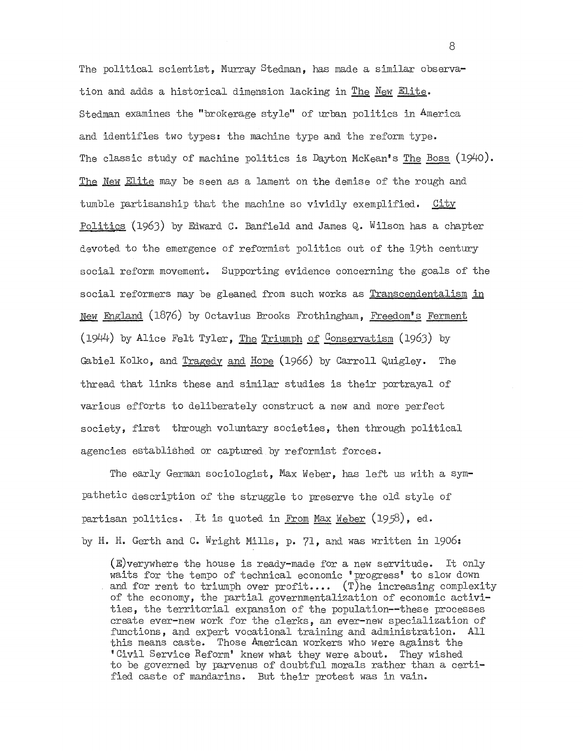The political scientist, Murray Stedman, has made a similar observation and adds a historical dimension lacking in The New Elite. Stedman examines the "brokerage style" of urban politics in America and identifies two types: the machine type and the reform type. The classic study of machine politics is Dayton McKean's The Boss  $(1940)$ . The New Elite may be seen as a lament on the demise of the rough and tumble partisanship that the machine so vividly exemplified. City Politics (1963) by Edward C. Banfield and James Q,. Wilson has a chapter devoted to the emergence of reformist politics out of the 19th century social reform movement. Supporting evidence concerning the goals of the social reformers may be gleaned from such works as Transcendentalism in New England (1876) by Octavius Brooks Frothingham, Freedom's Ferment (1944) by Alice Felt Tyler, The Triumph of Conservatism (1963) by Gabiel Kolko, and Tragedy and Hope (1966) by Carroll Quigley. The thread that links these and similar studies is their portrayal of various efforts to deliberately construct a new and more perfect society, first through voluntary societies, then through political agencies established or captured by reformist forces.

The early German sociologist, Max Weber, has left us with a sympathetic description of the struggle to preserve the old style of partisan politics. It is quoted in From Max Weber  $(1958)$ , ed. by H. H. Gerth and C. Wright Mills, p. **71,** and was written in 1906:

(E)verywhere the house is ready-made for a new servitude. It only waits for the tempo of technical economic 'progress' to slow down and for rent to triumph over  $profit...$  (T)he increasing complexity of the economy, the partial governmentalization of economic activities, the territorial expansion of the population--these processes create ever-new work for the clerks, an ever-new specialization of functions, and expert vocational training and administration. All this means caste. Those American workers who were against the 'Civil Service Reform' knew what they were about. They wished to be governed by parvenus of doubtful morals rather than a certified caste of mandarins. But their protest was in vain.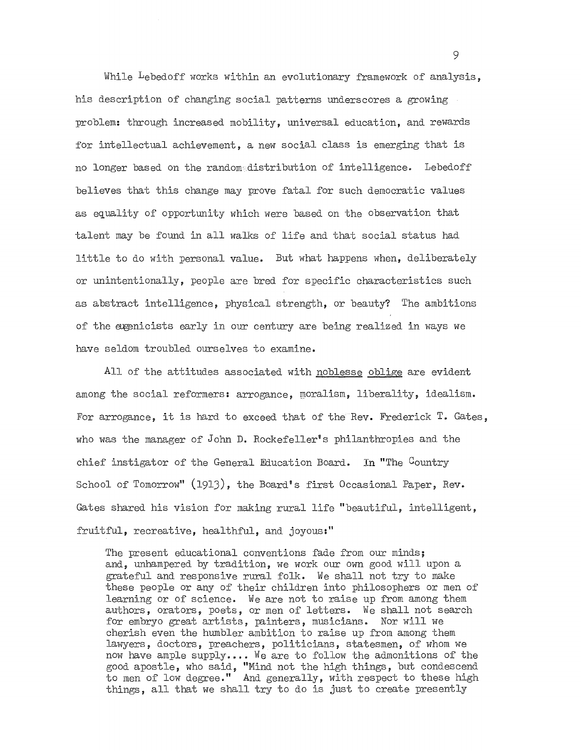While  $L$ ebedoff works within an evolutionary framework of analysis, his description of changing social patterns underscores a growing problem: through increased mobility, universal education, and rewards for intellectual achievement, a new social class is emerging that is no longer based on the randomcdistribution of intelligence. Lebedoff believes that this change may prove fatal for such democratic values as equality of opportunity which were based on the observation that talent may be found in all walks of life and that social status had little to do with personal value. But what happens when, deliberately or unintentionally, people are bred for specific characteristics such as abstract intelligence, physical strength, or beauty? The ambitions of the exenicists early in our century are being realized in ways we have seldom troubled ourselves to examine.

All of the attitudes associated with noblesse oblige are evident among the social reformers: arrogance, moralism, liberality, idealism. For arrogance, it is hard to exceed that of the Rev. Frederick T. Gates, who was the manager of John D. Rockefeller's philanthropies and the chief instigator of the General Education Board. In "The Country School of Tomorrow" (1913), the Board's first Occasional Paper, Rev. Gates shared his vision for making rural life "beautiful, intelligent, fruitful, recreative, healthful, and joyous:"

The present educational conventions fade from our minds; and, unhampered by tradition, we work our own good will upon a grateful and responsive rural folk. We shall not try to make these people or any of their children into philosophers or men of learning or of science. We are not to raise up from among them authors, orators, poets, or men of letters. We shall not search for embryo great artists, painters, musicians. Nor will we cherish even the humbler ambition to raise up from among them lawyers, doctors, preachers, politicians, statesmen, of whom we now have ample supply.... We are to follow the admonitions of the good apostle, who said, "Mind not the high things, but condescend to men of low degree." And generally, with respect to these high things, all that we shall try to do is just to create presently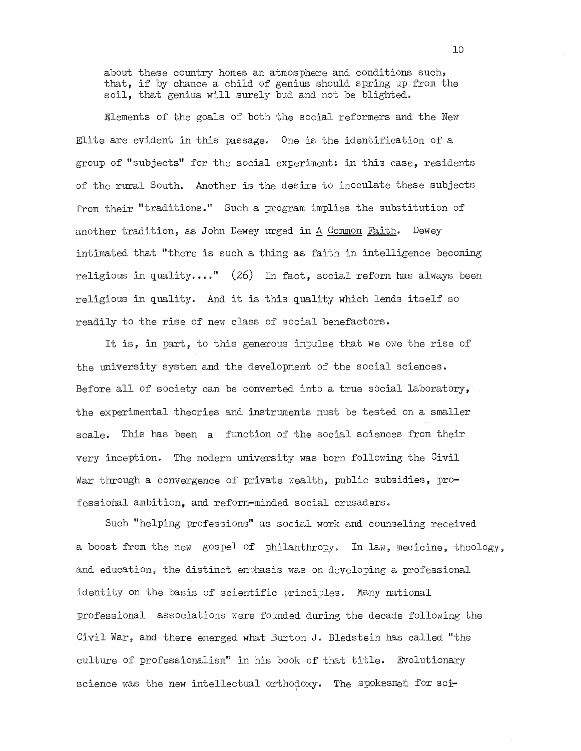about these country homes an atmosphere and conditions such, that, if by chance a child of genius should spring up from the soil, that genius will surely bud and not be blighted.

Elements of the goals of both the social reformers and the New Elite are evident in this passage. One is the identification of a group of "subjects" for the social experiment: in this case, residents of the rural South. Another is the desire to inoculate these subjects from their "traditions." Such a program implies the substitution of another tradition, as John Dewey urged in A Common Faith. Dewey intimated that "there is such a thing as faith in intelligence becoming religious in quality...."  $(26)$  In fact, social reform has always been religious in quality. And it is this quality which lends itself so readily to the rise of new class of social benefactors.

It is, in part, to this generous impulse that we owe the rise of the university system and the development of the social sciences. Before all of society can be converted into a true social laboratory, the experimental theories and instruments must be tested on a smaller scale. This has been a function of the social sciences from their very inception. The modern university was born following the Civil War through a convergence of private wealth, public subsidies, professional ambition, and reform-minded social crusaders.

Such "helping professions" as social work and counseling received a boost from the new gospel of philanthropy. In law, medicine, theology, and education, the distinct emphasis was on developing a professional identity on the basis of scientific principles. Many national professional associations were founded during the decade following the Civil War, and there emerged what Burton J. Bledstein has called "the culture of professionalism" in his book of that title. Evolutionary science was the new intellectual orthodoxy. The spokesmen for sci-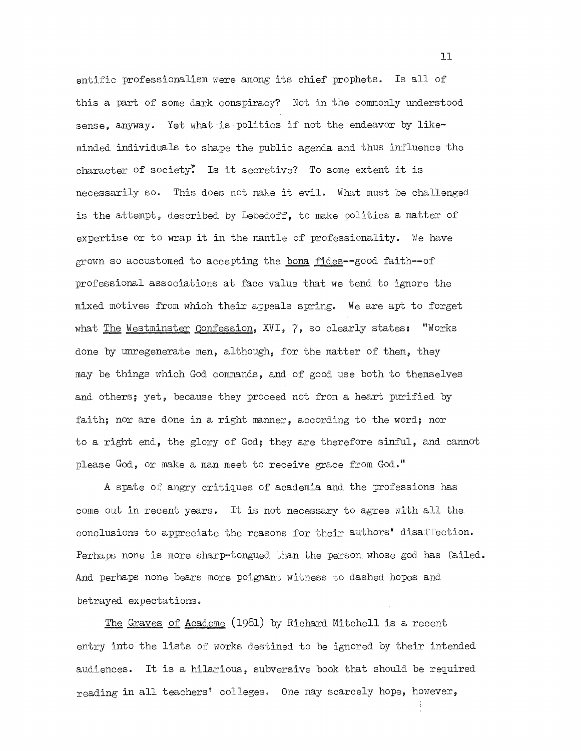entific professionalism were among its chief prophets. Is all of this a part of some dark conspiracy? Not in the commonly understood sense, anyway. Yet what is politics if not the endeavor by likeminded individuals to shape the public agenda and thus influence the character of society? Is it secretive? To some extent it is necessarily so. This does not make it evil. What must be challenged is the attempt, described by Lebedoff, to make politics a matter of expertise or to wrap it in the mantle of professionality. We have grown so accustomed to accepting the bona fides--good faith--of professional associations at face value that we tend to ignore the mixed motives from which their appeals spring. We are apt to forget what The Westminster Confession, XVI, 7, so clearly states: "Works done by unregenerate men, although, for the matter of them, they may be things which God commands, and of good use both to themselves and others; yet, because they proceed not from a heart purified by faith; nor are done in a right manner, according to the word; nor to a right end, the glory of God; they are therefore sinful, and cannot please God, or make a man meet to receive grace from God."

A spate of angry critiques of academia and the professions has come out in recent years. It is not necessary to agree with all the conclusions to appreciate the reasons for their authors' disaffection. Perhaps none is more sharp-tongued than the person whose god has failed. And perhaps none bears more poignant witness to dashed hopes and betrayed expectations.

The Graves of Academe (1981) by Richard Mitchell is a recent entry into the lists of works destined to be ignored by their intended audiences. It is a hilarious, subversive book that should be required reading in all teachers' colleges. One may scarcely hope, however,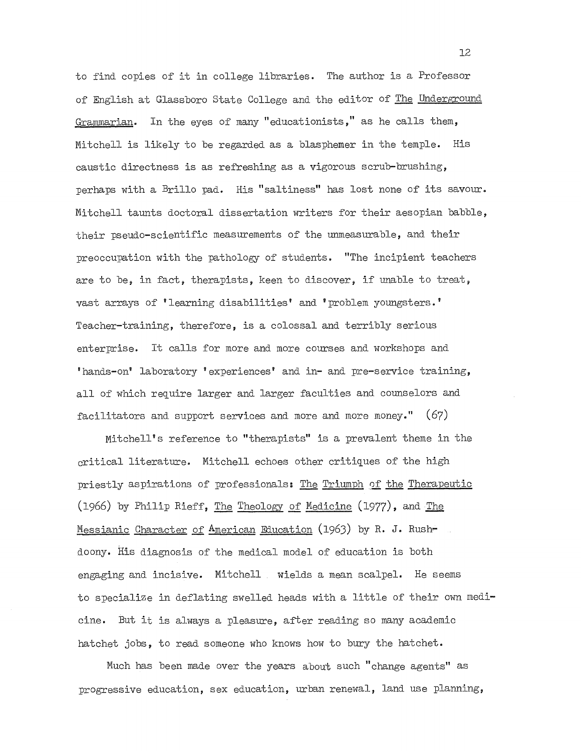to find copies of it in college libraries. The author is a Professor of English at Glassboro State College and the editor of The Underground Grammarian. In the eyes of many" educationists," as he calls them, Mitchell is likely to be regarded as a blasphemer in the temple. His caustic directness is as refreshing as a vigorous scrub-brushing, perhaps with a Brillo pad. His "saltiness" has lost none of its savour. Mitchell taunts doctoral dissertation writers for their aesopian babble, their pseudo-scientific measurements of the unmeasurable, and their preoccupation with the pathology of students. "The incipient teachers are to be, in fact, therapists, keen to discover, if unable to treat, vast arrays of 'learning disabilities' and 'problem youngsters.' Teacher-training, therefore, is a colossal and terribly serious enterprise. It calls for more and more courses and workshops and 'hands-on' laboratory 'experiences' and **in-** and pre-service training, all of which require larger and larger faculties and counselors and facilitators and support services and more and more money." (67)

Mitchell's reference to "therapists" is a prevalent theme in the critical literature. Mitchell echoes other critiques of the high priestly aspirations of professionals: The Triumph of the Therapeutic (1966) by Philip Rieff, The Theology of Medicine (1977), and The Messianic Character of American Education (1963) by R. J. Rushdoony. His diagnosis of the medical model of education is both engaging and incisive. Mitchell wields a mean scalpel. He seems to specialize in deflating swelled heads with a little of their own medicine. But it is always a pleasure, after reading so many academic hatchet jobs, to read someone who knows how to bury the hatchet.

Much has been made over the years about such "change agents" as progressive education, sex education, urban renewal, land use planning,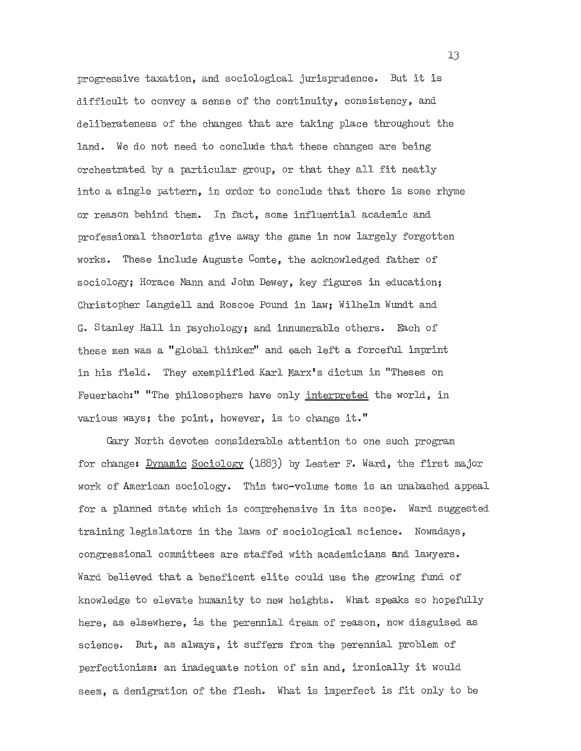progressive taxation, and sociological jurisprudence. But it is difficult to convey a sense of the continuity, consistency, and deliberateness of the changes that are taking place throughout the land. We do not need to conclude that these changes are being orchestrated by a particular group, or that they all fit neatly into a single pattern, in ordor to conclude that there is some rhyme or reason behind them. In fact, some influential academic and professional theorists give away the game in now largely forgotten works. These include Auguste Comte, the acknowledged father of sociology; Horace Mann and John Dewey, key figures in education; Christopher Langdell and Roscoe Pound in law; Wilhelm Wundt and G. Stanley Hall in psychology; and innumerable others. Each of these men was a "global thinker" and each left a forceful imprint in his field. They exemplified Karl Marx's dictum in "Theses on Feuerbach:" "The philosophers have only interpreted the world, in various ways; the point, however, is to change it."

Gary North devotes considerable attention to one such program for change: Dynamic Sociology (1883) by Lester F. Ward, the first major work of American sociology. This two-volume tome is an unabashed appeal for a planned state which is comprehensive in its scope. Ward suggested training legislators in the laws of sociological science. Nowadays, congressional committees are staffed with academicians and lawyers. Ward believed that a beneficent elite could use the growing fund of knowledge to elevate humanity to new heights. What speaks so hopefully here, as elsewhere, is the perennial dream of reason, now disguised as science. But, as always, it suffers from the perennial problem of perfectionism: an inadequate notion of sin and, ironically it would seem, a denigration of the flesh. What is imperfect is fit only to be